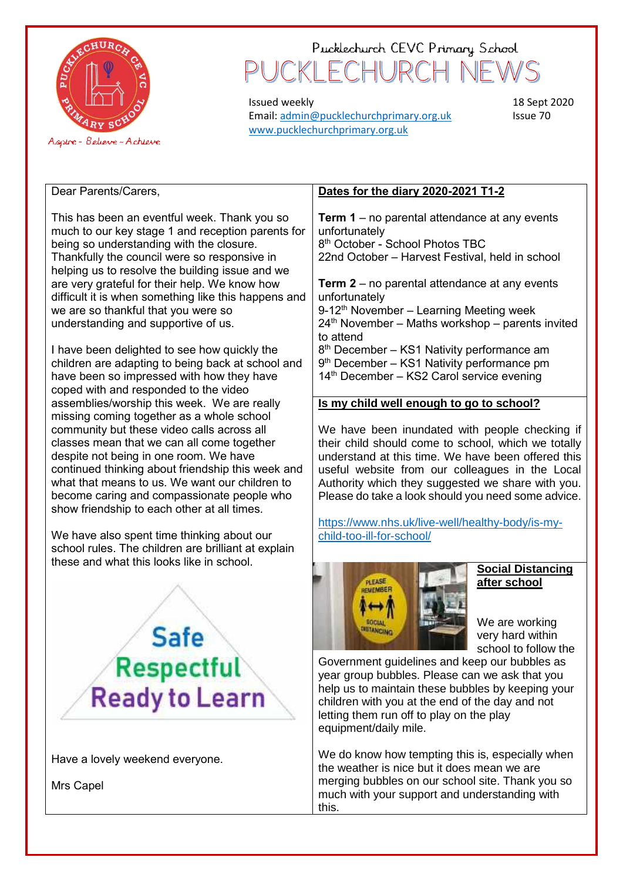

# Pucklechurch CEVC Primary School CKI FCHURC

Issued weekly Email[: admin@pucklechurchprimary.org.uk](mailto:admin@pucklechurchprimary.org.uk) [www.pucklechurchprimary.org.uk](http://www.pucklechurchprimary.org.uk/)

18 Sept 2020 Issue 70

Dear Parents/Carers,

This has been an eventful week. Thank you so much to our key stage 1 and reception parents for being so understanding with the closure. Thankfully the council were so responsive in helping us to resolve the building issue and we are very grateful for their help. We know how difficult it is when something like this happens and we are so thankful that you were so understanding and supportive of us.

I have been delighted to see how quickly the children are adapting to being back at school and have been so impressed with how they have coped with and responded to the video assemblies/worship this week. We are really missing coming together as a whole school community but these video calls across all classes mean that we can all come together despite not being in one room. We have continued thinking about friendship this week and what that means to us. We want our children to become caring and compassionate people who show friendship to each other at all times.

We have also spent time thinking about our school rules. The children are brilliant at explain these and what this looks like in school.



Have a lovely weekend everyone.

Mrs Capel

### **Dates for the diary 2020-2021 T1-2**

**Term 1** – no parental attendance at any events unfortunately 8 th October - School Photos TBC 22nd October – Harvest Festival, held in school

**Term 2** – no parental attendance at any events unfortunately

9-12<sup>th</sup> November – Learning Meeting week  $24<sup>th</sup>$  November – Maths workshop – parents invited to attend

8<sup>th</sup> December – KS1 Nativity performance am 9<sup>th</sup> December - KS1 Nativity performance pm 14<sup>th</sup> December – KS2 Carol service evening

### **Is my child well enough to go to school?**

We have been inundated with people checking if their child should come to school, which we totally understand at this time. We have been offered this useful website from our colleagues in the Local Authority which they suggested we share with you. Please do take a look should you need some advice.

[https://www.nhs.uk/live-well/healthy-body/is-my](https://www.nhs.uk/live-well/healthy-body/is-my-child-too-ill-for-school/)[child-too-ill-for-school/](https://www.nhs.uk/live-well/healthy-body/is-my-child-too-ill-for-school/)



#### **Social Distancing after school**

We are working very hard within school to follow the

Government guidelines and keep our bubbles as year group bubbles. Please can we ask that you help us to maintain these bubbles by keeping your children with you at the end of the day and not letting them run off to play on the play equipment/daily mile.

We do know how tempting this is, especially when the weather is nice but it does mean we are merging bubbles on our school site. Thank you so much with your support and understanding with this.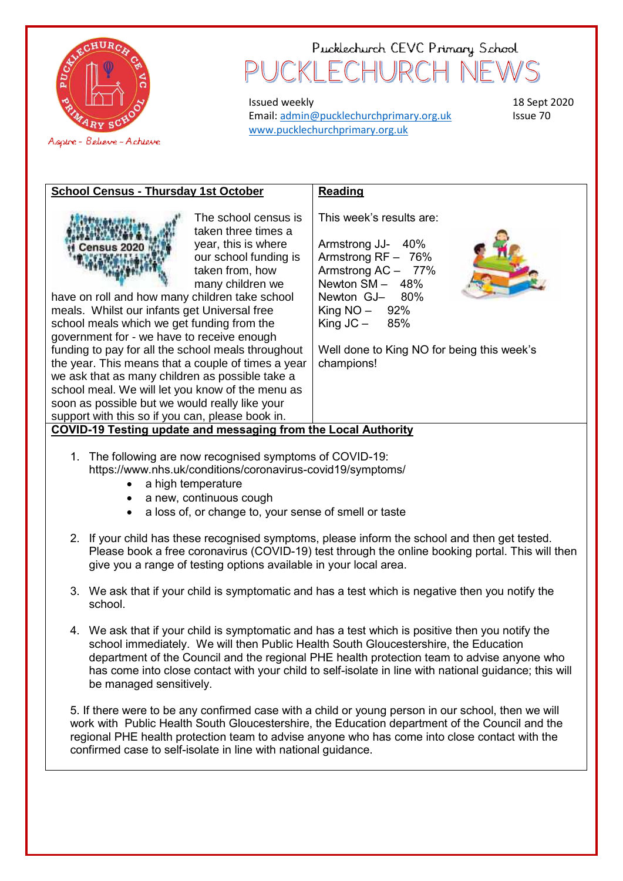

## Pucklechurch CEVC Primary School KI FCHUR(

Issued weekly Email[: admin@pucklechurchprimary.org.uk](mailto:admin@pucklechurchprimary.org.uk) [www.pucklechurchprimary.org.uk](http://www.pucklechurchprimary.org.uk/)

18 Sept 2020 Issue 70

| <b>School Census - Thursday 1st October</b>                                                                                                                                                                                                                                                                                                                                                                                                                                                                                                                                                                                                                              | <b>Reading</b>                                                                                                                                                                                                                        |  |  |  |  |
|--------------------------------------------------------------------------------------------------------------------------------------------------------------------------------------------------------------------------------------------------------------------------------------------------------------------------------------------------------------------------------------------------------------------------------------------------------------------------------------------------------------------------------------------------------------------------------------------------------------------------------------------------------------------------|---------------------------------------------------------------------------------------------------------------------------------------------------------------------------------------------------------------------------------------|--|--|--|--|
| The school census is<br>taken three times a<br>year, this is where<br>Census 2020<br>our school funding is<br>taken from, how<br>many children we<br>have on roll and how many children take school<br>meals. Whilst our infants get Universal free<br>school meals which we get funding from the<br>government for - we have to receive enough<br>funding to pay for all the school meals throughout<br>the year. This means that a couple of times a year<br>we ask that as many children as possible take a<br>school meal. We will let you know of the menu as<br>soon as possible but we would really like your<br>support with this so if you can, please book in. | This week's results are:<br>Armstrong JJ- 40%<br>Armstrong $RF - 76%$<br>Armstrong AC - 77%<br>Newton $SM - 48%$<br>Newton GJ- 80%<br>King $NO - 92\%$<br>King $JC - 85%$<br>Well done to King NO for being this week's<br>champions! |  |  |  |  |
| COVID-19 Testing update and messaging from the Local Authority                                                                                                                                                                                                                                                                                                                                                                                                                                                                                                                                                                                                           |                                                                                                                                                                                                                                       |  |  |  |  |

- 1. The following are now recognised symptoms of COVID-19: https://www.nhs.uk/conditions/coronavirus-covid19/symptoms/
	- a high temperature
	- a new, continuous cough
	- a loss of, or change to, your sense of smell or taste
- 2. If your child has these recognised symptoms, please inform the school and then get tested. Please book a free coronavirus (COVID-19) test through the online booking portal. This will then give you a range of testing options available in your local area.
- 3. We ask that if your child is symptomatic and has a test which is negative then you notify the school.
- 4. We ask that if your child is symptomatic and has a test which is positive then you notify the school immediately. We will then Public Health South Gloucestershire, the Education department of the Council and the regional PHE health protection team to advise anyone who has come into close contact with your child to self-isolate in line with national guidance; this will be managed sensitively.

5. If there were to be any confirmed case with a child or young person in our school, then we will work with Public Health South Gloucestershire, the Education department of the Council and the regional PHE health protection team to advise anyone who has come into close contact with the confirmed case to self-isolate in line with national guidance.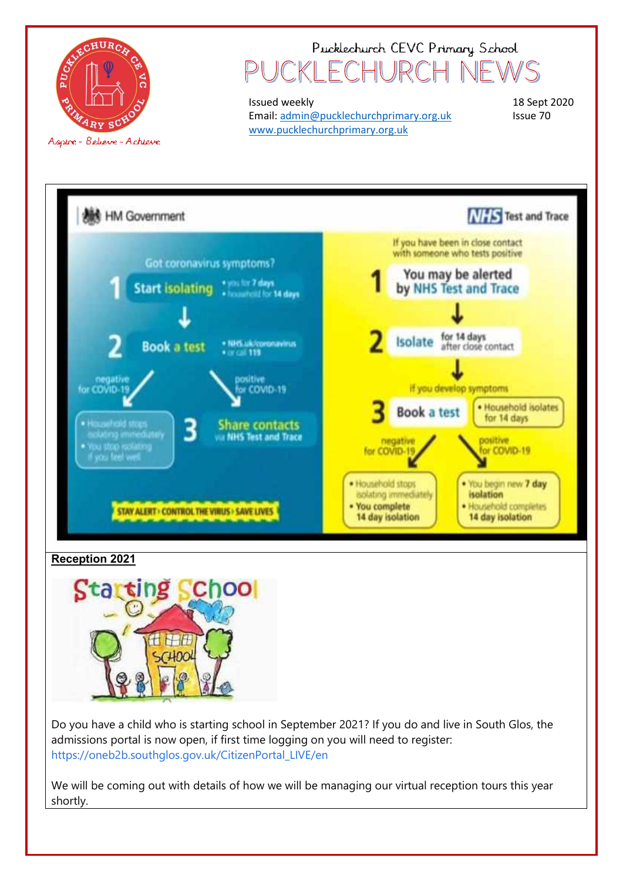

## Pucklechurch CEVC Primary School KI FCHURCH

Issued weekly Email[: admin@pucklechurchprimary.org.uk](mailto:admin@pucklechurchprimary.org.uk) [www.pucklechurchprimary.org.uk](http://www.pucklechurchprimary.org.uk/)

18 Sept 2020 Issue 70



## **Reception 2021**



Do you have a child who is starting school in September 2021? If you do and live in South Glos, the admissions portal is now open, if first time logging on you will need to register: [https://oneb2b.southglos.gov.uk/CitizenPortal\\_LIVE/en](https://oneb2b.southglos.gov.uk/CitizenPortal_LIVE/en?fbclid=IwAR1OHbs5iaIhXBMwnAMFGpuiVwRPHHe5V7s4NrgqCMqqhCove7hKu_Jobt4)

We will be coming out with details of how we will be managing our virtual reception tours this year shortly.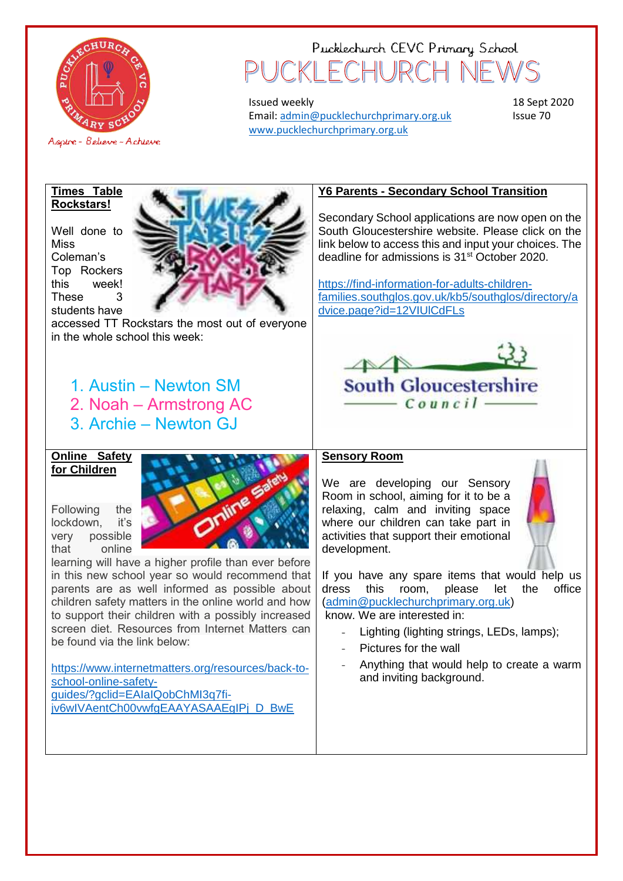

## Pucklechurch CEVC Primary School CKI FCHURCI

Issued weekly Email[: admin@pucklechurchprimary.org.uk](mailto:admin@pucklechurchprimary.org.uk) [www.pucklechurchprimary.org.uk](http://www.pucklechurchprimary.org.uk/)

18 Sept 2020 Issue 70

#### **Times Table Rockstars!**

Well done to Miss Coleman's Top Rockers this week! These 3 students have



accessed TT Rockstars the most out of everyone in the whole school this week:

## 1. Austin – Newton SM

2. Noah – Armstrong AC

3. Archie – Newton GJ

#### **Online Safety for Children**

Following the lockdown, it's very possible that online



learning will have a higher profile than ever before in this new school year so would recommend that parents are as well informed as possible about children safety matters in the online world and how to support their children with a possibly increased screen diet. Resources from Internet Matters can be found via the link below:

[https://www.internetmatters.org/resources/back-to](https://www.internetmatters.org/resources/back-to-school-online-safety-guides/?gclid=EAIaIQobChMI3q7fi-jv6wIVAentCh00vwfgEAAYASAAEgIPj_D_BwE)[school-online-safety](https://www.internetmatters.org/resources/back-to-school-online-safety-guides/?gclid=EAIaIQobChMI3q7fi-jv6wIVAentCh00vwfgEAAYASAAEgIPj_D_BwE)[guides/?gclid=EAIaIQobChMI3q7fi](https://www.internetmatters.org/resources/back-to-school-online-safety-guides/?gclid=EAIaIQobChMI3q7fi-jv6wIVAentCh00vwfgEAAYASAAEgIPj_D_BwE)iv6wIVAentCh00vwfgEAAYASAAEgIPi D\_BwE

## **Y6 Parents - Secondary School Transition**

Secondary School applications are now open on the South Gloucestershire website. Please click on the link below to access this and input your choices. The deadline for admissions is 31st October 2020.

[https://find-information-for-adults-children](https://find-information-for-adults-children-families.southglos.gov.uk/kb5/southglos/directory/advice.page?id=12VIUlCdFLs)[families.southglos.gov.uk/kb5/southglos/directory/a](https://find-information-for-adults-children-families.southglos.gov.uk/kb5/southglos/directory/advice.page?id=12VIUlCdFLs) [dvice.page?id=12VIUlCdFLs](https://find-information-for-adults-children-families.southglos.gov.uk/kb5/southglos/directory/advice.page?id=12VIUlCdFLs)



## **Sensory Room**

We are developing our Sensory Room in school, aiming for it to be a relaxing, calm and inviting space where our children can take part in activities that support their emotional development.



- Lighting (lighting strings, LEDs, lamps);
- Pictures for the wall
- Anything that would help to create a warm and inviting background.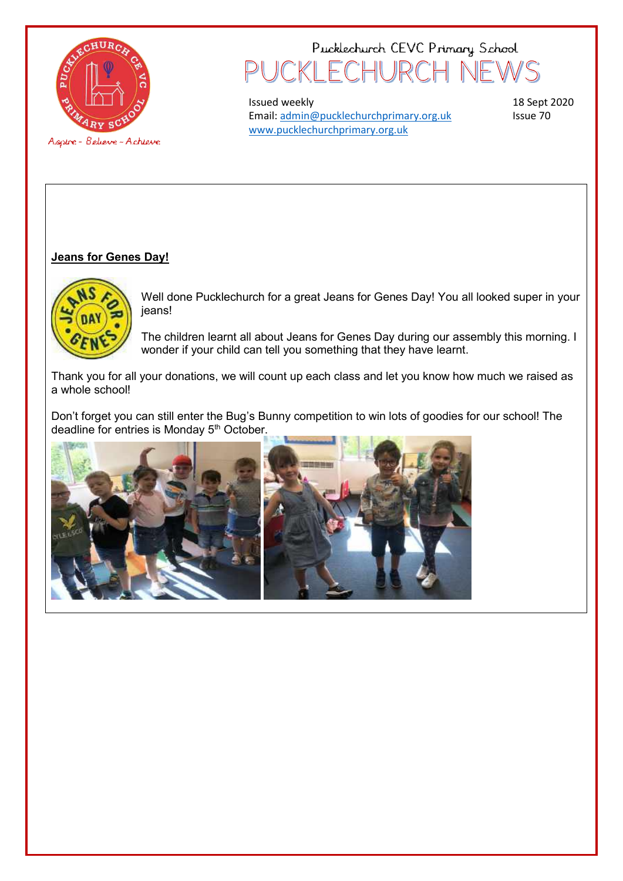

## Pucklechurch CEVC Primary School KI FCHURC

Issued weekly Email[: admin@pucklechurchprimary.org.uk](mailto:admin@pucklechurchprimary.org.uk) [www.pucklechurchprimary.org.uk](http://www.pucklechurchprimary.org.uk/)

18 Sept 2020 Issue 70

## **Jeans for Genes Day!**



Well done Pucklechurch for a great Jeans for Genes Day! You all looked super in your jeans!

The children learnt all about Jeans for Genes Day during our assembly this morning. I wonder if your child can tell you something that they have learnt.

Thank you for all your donations, we will count up each class and let you know how much we raised as a whole school!

Don't forget you can still enter the Bug's Bunny competition to win lots of goodies for our school! The deadline for entries is Monday 5<sup>th</sup> October.

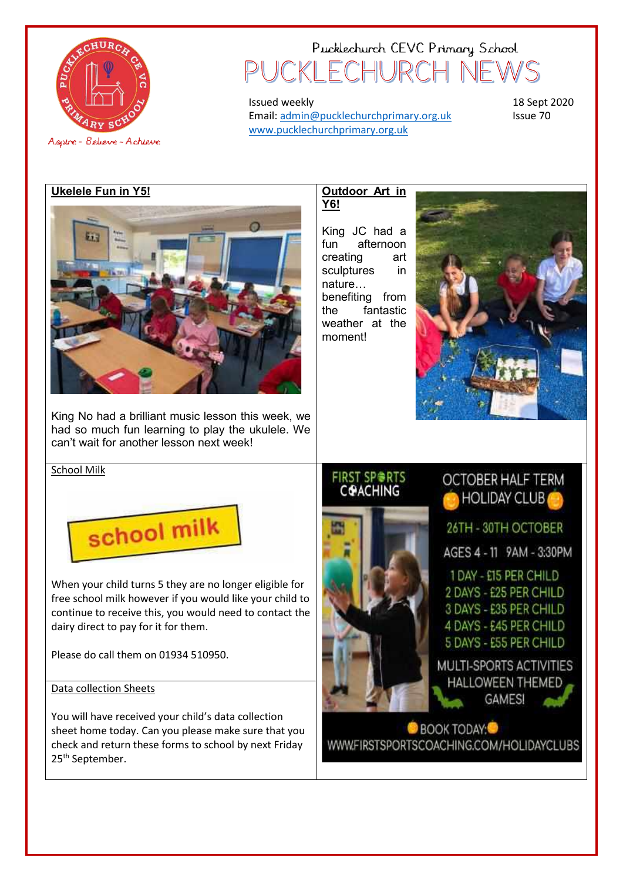

## Pucklechurch CEVC Primary School CKI FCHURCH  $\overline{\phantom{a}}$

Issued weekly Email[: admin@pucklechurchprimary.org.uk](mailto:admin@pucklechurchprimary.org.uk) [www.pucklechurchprimary.org.uk](http://www.pucklechurchprimary.org.uk/)

18 Sept 2020 Issue 70

### **Ukelele Fun in Y5!**



King No had a brilliant music lesson this week, we had so much fun learning to play the ukulele. We can't wait for another lesson next week!

#### **Outdoor Art in Y6!**

King JC had a fun afternoon creating art sculptures in nature… benefiting from the fantastic weather at the moment!



#### FIRST SP⊜RTS **COACHING**

**OCTOBER HALF TERM** HOLIDAY CLUB

26TH - 30TH OCTOBER

AGES 4 - 11 9AM - 3:30PM

1 DAY - £15 PER CHILD 2 DAYS - £25 PER CHILD 3 DAYS - £35 PER CHILD 4 DAYS - £45 PER CHILD 5 DAYS - £55 PER CHILD

MULTI-SPORTS ACTIVITIES HALLOWEEN THEMED **GAMES!** 

**BOOK TODAY** WWW.FIRSTSPORTSCOACHING.COM/HOLIDAYCLUBS

#### School Milk



When your child turns 5 they are no longer eligible for free school milk however if you would like your child to continue to receive this, you would need to contact the dairy direct to pay for it for them.

Please do call them on 01934 510950.

### Data collection Sheets

You will have received your child's data collection sheet home today. Can you please make sure that you check and return these forms to school by next Friday 25<sup>th</sup> September.